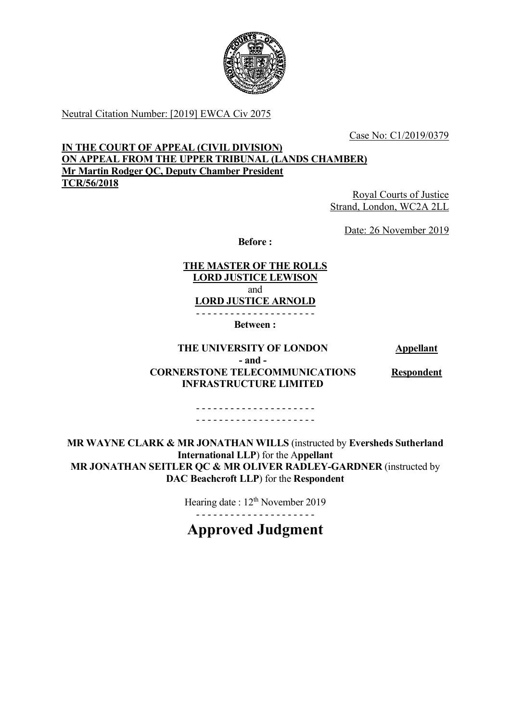

Neutral Citation Number: [2019] EWCA Civ 2075

Case No: C1/2019/0379

# **IN THE COURT OF APPEAL (CIVIL DIVISION) ON APPEAL FROM THE UPPER TRIBUNAL (LANDS CHAMBER) Mr Martin Rodger QC, Deputy Chamber President TCR/56/2018**

Royal Courts of Justice Strand, London, WC2A 2LL

Date: 26 November 2019

**Before :**

**THE MASTER OF THE ROLLS LORD JUSTICE LEWISON** and **LORD JUSTICE ARNOLD**

- - - - - - - - - - - - - - - - - - - - -

**Between :**

## **THE UNIVERSITY OF LONDON Appellant - and - CORNERSTONE TELECOMMUNICATIONS INFRASTRUCTURE LIMITED**

**Respondent**

- - - - - - - - - - - - - - - - - - - - - - - - - - - - - - - - - - - - - - - - - -

**MR WAYNE CLARK & MR JONATHAN WILLS** (instructed by **Eversheds Sutherland International LLP**) for the A**ppellant MR JONATHAN SEITLER QC & MR OLIVER RADLEY-GARDNER** (instructed by **DAC Beachcroft LLP**) for the **Respondent**

Hearing date : 12<sup>th</sup> November 2019

- - - - - - - - - - - - - - - - - - - - -

**Approved Judgment**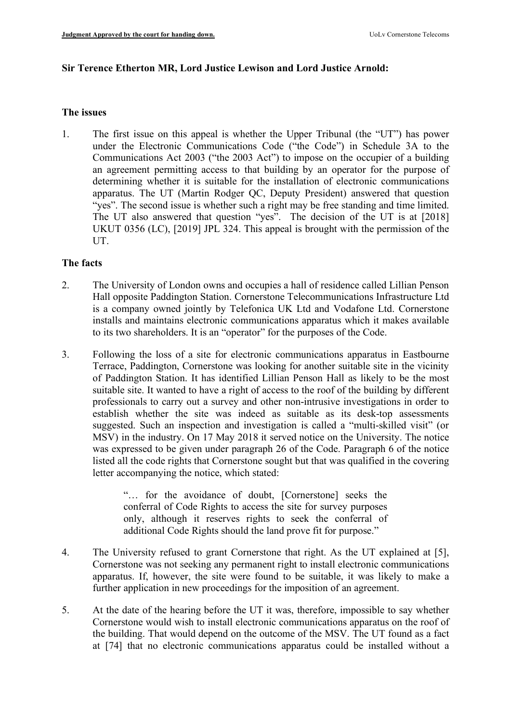## **Sir Terence Etherton MR, Lord Justice Lewison and Lord Justice Arnold:**

### **The issues**

1. The first issue on this appeal is whether the Upper Tribunal (the "UT") has power under the Electronic Communications Code ("the Code") in Schedule 3A to the Communications Act 2003 ("the 2003 Act") to impose on the occupier of a building an agreement permitting access to that building by an operator for the purpose of determining whether it is suitable for the installation of electronic communications apparatus. The UT (Martin Rodger QC, Deputy President) answered that question "yes". The second issue is whether such a right may be free standing and time limited. The UT also answered that question "yes". The decision of the UT is at [2018] UKUT 0356 (LC), [2019] JPL 324. This appeal is brought with the permission of the UT.

## **The facts**

- 2. The University of London owns and occupies a hall of residence called Lillian Penson Hall opposite Paddington Station. Cornerstone Telecommunications Infrastructure Ltd is a company owned jointly by Telefonica UK Ltd and Vodafone Ltd. Cornerstone installs and maintains electronic communications apparatus which it makes available to its two shareholders. It is an "operator" for the purposes of the Code.
- 3. Following the loss of a site for electronic communications apparatus in Eastbourne Terrace, Paddington, Cornerstone was looking for another suitable site in the vicinity of Paddington Station. It has identified Lillian Penson Hall as likely to be the most suitable site. It wanted to have a right of access to the roof of the building by different professionals to carry out a survey and other non-intrusive investigations in order to establish whether the site was indeed as suitable as its desk-top assessments suggested. Such an inspection and investigation is called a "multi-skilled visit" (or MSV) in the industry. On 17 May 2018 it served notice on the University. The notice was expressed to be given under paragraph 26 of the Code. Paragraph 6 of the notice listed all the code rights that Cornerstone sought but that was qualified in the covering letter accompanying the notice, which stated:

"… for the avoidance of doubt, [Cornerstone] seeks the conferral of Code Rights to access the site for survey purposes only, although it reserves rights to seek the conferral of additional Code Rights should the land prove fit for purpose."

- 4. The University refused to grant Cornerstone that right. As the UT explained at [5], Cornerstone was not seeking any permanent right to install electronic communications apparatus. If, however, the site were found to be suitable, it was likely to make a further application in new proceedings for the imposition of an agreement.
- 5. At the date of the hearing before the UT it was, therefore, impossible to say whether Cornerstone would wish to install electronic communications apparatus on the roof of the building. That would depend on the outcome of the MSV. The UT found as a fact at [74] that no electronic communications apparatus could be installed without a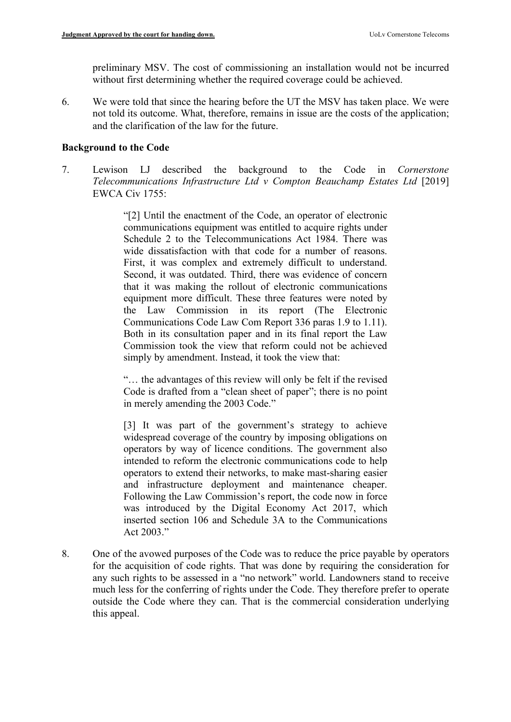preliminary MSV. The cost of commissioning an installation would not be incurred without first determining whether the required coverage could be achieved.

6. We were told that since the hearing before the UT the MSV has taken place. We were not told its outcome. What, therefore, remains in issue are the costs of the application; and the clarification of the law for the future.

# **Background to the Code**

7. Lewison LJ described the background to the Code in *Cornerstone Telecommunications Infrastructure Ltd v Compton Beauchamp Estates Ltd* [2019] EWCA Civ 1755:

> "[2] Until the enactment of the Code, an operator of electronic communications equipment was entitled to acquire rights under Schedule 2 to the Telecommunications Act 1984. There was wide dissatisfaction with that code for a number of reasons. First, it was complex and extremely difficult to understand. Second, it was outdated. Third, there was evidence of concern that it was making the rollout of electronic communications equipment more difficult. These three features were noted by the Law Commission in its report (The Electronic Communications Code Law Com Report 336 paras 1.9 to 1.11). Both in its consultation paper and in its final report the Law Commission took the view that reform could not be achieved simply by amendment. Instead, it took the view that:

> "… the advantages of this review will only be felt if the revised Code is drafted from a "clean sheet of paper"; there is no point in merely amending the 2003 Code."

> [3] It was part of the government's strategy to achieve widespread coverage of the country by imposing obligations on operators by way of licence conditions. The government also intended to reform the electronic communications code to help operators to extend their networks, to make mast-sharing easier and infrastructure deployment and maintenance cheaper. Following the Law Commission's report, the code now in force was introduced by the Digital Economy Act 2017, which inserted section 106 and Schedule 3A to the Communications Act 2003."

8. One of the avowed purposes of the Code was to reduce the price payable by operators for the acquisition of code rights. That was done by requiring the consideration for any such rights to be assessed in a "no network" world. Landowners stand to receive much less for the conferring of rights under the Code. They therefore prefer to operate outside the Code where they can. That is the commercial consideration underlying this appeal.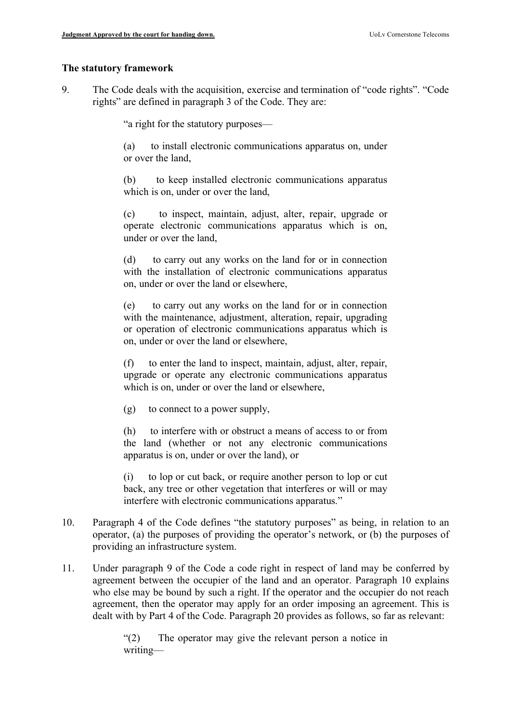### **The statutory framework**

9. The Code deals with the acquisition, exercise and termination of "code rights". "Code rights" are defined in paragraph 3 of the Code. They are:

"a right for the statutory purposes—

(a) to install electronic communications apparatus on, under or over the land,

(b) to keep installed electronic communications apparatus which is on, under or over the land,

(c) to inspect, maintain, adjust, alter, repair, upgrade or operate electronic communications apparatus which is on, under or over the land,

(d) to carry out any works on the land for or in connection with the installation of electronic communications apparatus on, under or over the land or elsewhere,

(e) to carry out any works on the land for or in connection with the maintenance, adjustment, alteration, repair, upgrading or operation of electronic communications apparatus which is on, under or over the land or elsewhere,

(f) to enter the land to inspect, maintain, adjust, alter, repair, upgrade or operate any electronic communications apparatus which is on, under or over the land or elsewhere.

(g) to connect to a power supply,

(h) to interfere with or obstruct a means of access to or from the land (whether or not any electronic communications apparatus is on, under or over the land), or

(i) to lop or cut back, or require another person to lop or cut back, any tree or other vegetation that interferes or will or may interfere with electronic communications apparatus."

- 10. Paragraph 4 of the Code defines "the statutory purposes" as being, in relation to an operator, (a) the purposes of providing the operator's network, or (b) the purposes of providing an infrastructure system.
- 11. Under paragraph 9 of the Code a code right in respect of land may be conferred by agreement between the occupier of the land and an operator. Paragraph 10 explains who else may be bound by such a right. If the operator and the occupier do not reach agreement, then the operator may apply for an order imposing an agreement. This is dealt with by Part 4 of the Code. Paragraph 20 provides as follows, so far as relevant:

"(2) The operator may give the relevant person a notice in writing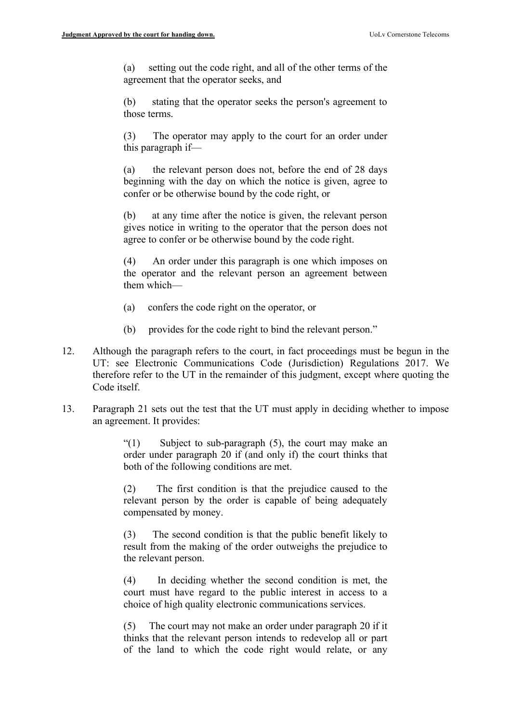(a) setting out the code right, and all of the other terms of the agreement that the operator seeks, and

(b) stating that the operator seeks the person's agreement to those terms.

(3) The operator may apply to the court for an order under this paragraph if—

(a) the relevant person does not, before the end of 28 days beginning with the day on which the notice is given, agree to confer or be otherwise bound by the code right, or

(b) at any time after the notice is given, the relevant person gives notice in writing to the operator that the person does not agree to confer or be otherwise bound by the code right.

(4) An order under this paragraph is one which imposes on the operator and the relevant person an agreement between them which—

- (a) confers the code right on the operator, or
- (b) provides for the code right to bind the relevant person."
- 12. Although the paragraph refers to the court, in fact proceedings must be begun in the UT: see Electronic Communications Code (Jurisdiction) Regulations 2017. We therefore refer to the UT in the remainder of this judgment, except where quoting the Code itself.
- 13. Paragraph 21 sets out the test that the UT must apply in deciding whether to impose an agreement. It provides:

"(1) Subject to sub-paragraph (5), the court may make an order under paragraph 20 if (and only if) the court thinks that both of the following conditions are met.

(2) The first condition is that the prejudice caused to the relevant person by the order is capable of being adequately compensated by money.

(3) The second condition is that the public benefit likely to result from the making of the order outweighs the prejudice to the relevant person.

(4) In deciding whether the second condition is met, the court must have regard to the public interest in access to a choice of high quality electronic communications services.

(5) The court may not make an order under paragraph 20 if it thinks that the relevant person intends to redevelop all or part of the land to which the code right would relate, or any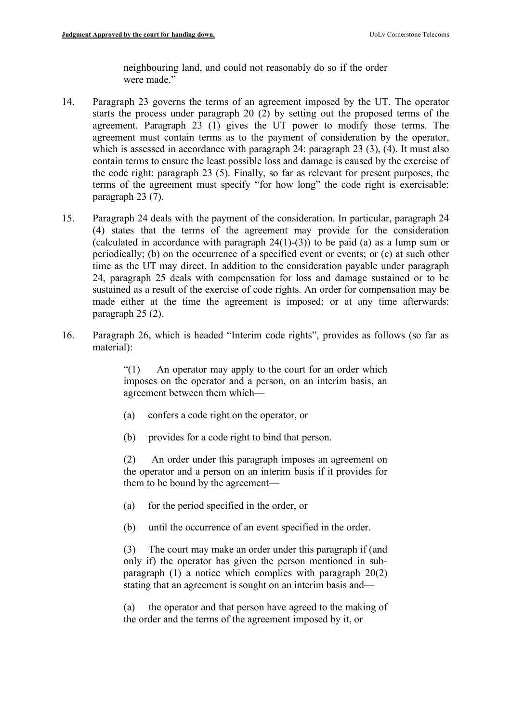neighbouring land, and could not reasonably do so if the order were made."

- 14. Paragraph 23 governs the terms of an agreement imposed by the UT. The operator starts the process under paragraph 20 (2) by setting out the proposed terms of the agreement. Paragraph 23 (1) gives the UT power to modify those terms. The agreement must contain terms as to the payment of consideration by the operator, which is assessed in accordance with paragraph 24: paragraph 23 (3), (4). It must also contain terms to ensure the least possible loss and damage is caused by the exercise of the code right: paragraph 23 (5). Finally, so far as relevant for present purposes, the terms of the agreement must specify "for how long" the code right is exercisable: paragraph 23 (7).
- 15. Paragraph 24 deals with the payment of the consideration. In particular, paragraph 24 (4) states that the terms of the agreement may provide for the consideration (calculated in accordance with paragraph 24(1)-(3)) to be paid (a) as a lump sum or periodically; (b) on the occurrence of a specified event or events; or (c) at such other time as the UT may direct. In addition to the consideration payable under paragraph 24, paragraph 25 deals with compensation for loss and damage sustained or to be sustained as a result of the exercise of code rights. An order for compensation may be made either at the time the agreement is imposed; or at any time afterwards: paragraph 25 (2).
- 16. Paragraph 26, which is headed "Interim code rights", provides as follows (so far as material):

"(1) An operator may apply to the court for an order which imposes on the operator and a person, on an interim basis, an agreement between them which—

- (a) confers a code right on the operator, or
- (b) provides for a code right to bind that person.

(2) An order under this paragraph imposes an agreement on the operator and a person on an interim basis if it provides for them to be bound by the agreement—

- (a) for the period specified in the order, or
- (b) until the occurrence of an event specified in the order.

(3) The court may make an order under this paragraph if (and only if) the operator has given the person mentioned in subparagraph (1) a notice which complies with paragraph 20(2) stating that an agreement is sought on an interim basis and—

(a) the operator and that person have agreed to the making of the order and the terms of the agreement imposed by it, or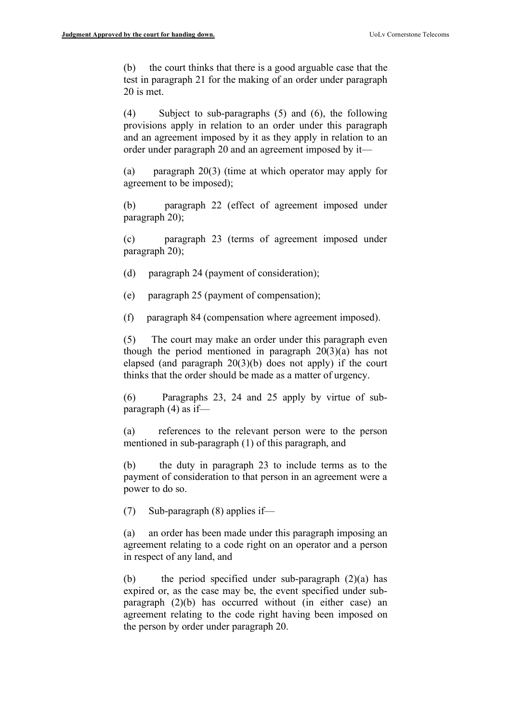(b) the court thinks that there is a good arguable case that the test in paragraph 21 for the making of an order under paragraph 20 is met.

(4) Subject to sub-paragraphs (5) and (6), the following provisions apply in relation to an order under this paragraph and an agreement imposed by it as they apply in relation to an order under paragraph 20 and an agreement imposed by it—

(a) paragraph 20(3) (time at which operator may apply for agreement to be imposed);

(b) paragraph 22 (effect of agreement imposed under paragraph 20);

(c) paragraph 23 (terms of agreement imposed under paragraph 20);

- (d) paragraph 24 (payment of consideration);
- (e) paragraph 25 (payment of compensation);
- (f) paragraph 84 (compensation where agreement imposed).

(5) The court may make an order under this paragraph even though the period mentioned in paragraph  $20(3)(a)$  has not elapsed (and paragraph 20(3)(b) does not apply) if the court thinks that the order should be made as a matter of urgency.

(6) Paragraphs 23, 24 and 25 apply by virtue of subparagraph (4) as if—

(a) references to the relevant person were to the person mentioned in sub-paragraph (1) of this paragraph, and

(b) the duty in paragraph 23 to include terms as to the payment of consideration to that person in an agreement were a power to do so.

(7) Sub-paragraph (8) applies if—

(a) an order has been made under this paragraph imposing an agreement relating to a code right on an operator and a person in respect of any land, and

(b) the period specified under sub-paragraph (2)(a) has expired or, as the case may be, the event specified under subparagraph (2)(b) has occurred without (in either case) an agreement relating to the code right having been imposed on the person by order under paragraph 20.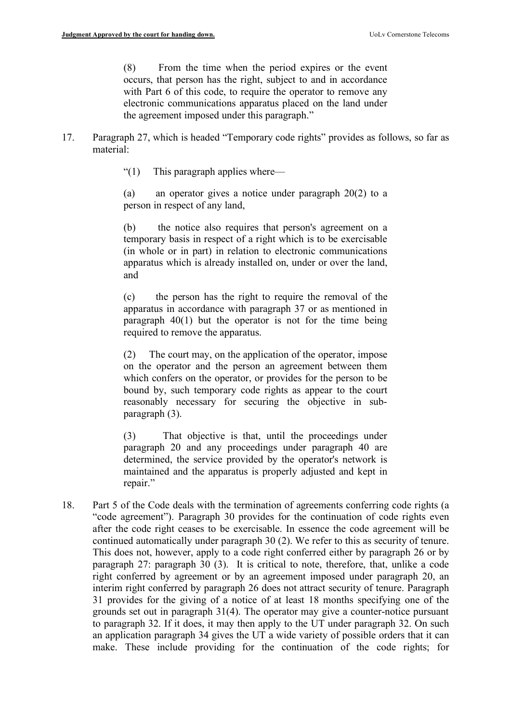(8) From the time when the period expires or the event occurs, that person has the right, subject to and in accordance with Part 6 of this code, to require the operator to remove any electronic communications apparatus placed on the land under the agreement imposed under this paragraph."

- 17. Paragraph 27, which is headed "Temporary code rights" provides as follows, so far as material:
	- "(1) This paragraph applies where—

(a) an operator gives a notice under paragraph 20(2) to a person in respect of any land,

(b) the notice also requires that person's agreement on a temporary basis in respect of a right which is to be exercisable (in whole or in part) in relation to electronic communications apparatus which is already installed on, under or over the land, and

(c) the person has the right to require the removal of the apparatus in accordance with paragraph 37 or as mentioned in paragraph 40(1) but the operator is not for the time being required to remove the apparatus.

(2) The court may, on the application of the operator, impose on the operator and the person an agreement between them which confers on the operator, or provides for the person to be bound by, such temporary code rights as appear to the court reasonably necessary for securing the objective in subparagraph (3).

(3) That objective is that, until the proceedings under paragraph 20 and any proceedings under paragraph 40 are determined, the service provided by the operator's network is maintained and the apparatus is properly adjusted and kept in repair."

18. Part 5 of the Code deals with the termination of agreements conferring code rights (a "code agreement"). Paragraph 30 provides for the continuation of code rights even after the code right ceases to be exercisable. In essence the code agreement will be continued automatically under paragraph 30 (2). We refer to this as security of tenure. This does not, however, apply to a code right conferred either by paragraph 26 or by paragraph 27: paragraph 30 (3). It is critical to note, therefore, that, unlike a code right conferred by agreement or by an agreement imposed under paragraph 20, an interim right conferred by paragraph 26 does not attract security of tenure. Paragraph 31 provides for the giving of a notice of at least 18 months specifying one of the grounds set out in paragraph 31(4). The operator may give a counter-notice pursuant to paragraph 32. If it does, it may then apply to the UT under paragraph 32. On such an application paragraph 34 gives the UT a wide variety of possible orders that it can make. These include providing for the continuation of the code rights; for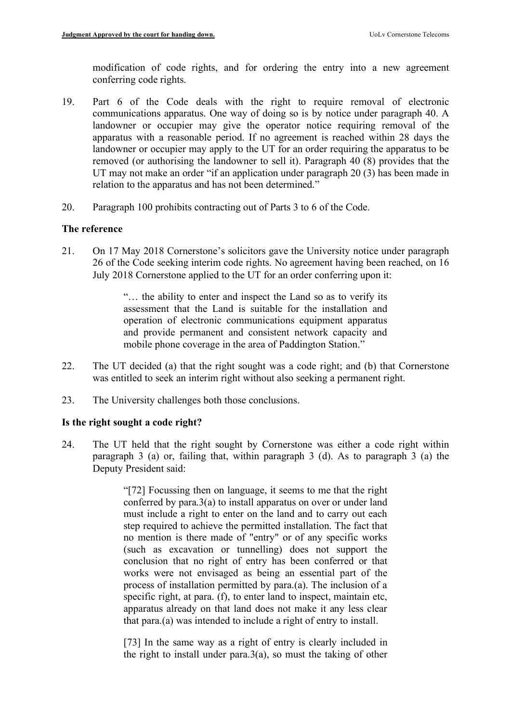modification of code rights, and for ordering the entry into a new agreement conferring code rights.

- 19. Part 6 of the Code deals with the right to require removal of electronic communications apparatus. One way of doing so is by notice under paragraph 40. A landowner or occupier may give the operator notice requiring removal of the apparatus with a reasonable period. If no agreement is reached within 28 days the landowner or occupier may apply to the UT for an order requiring the apparatus to be removed (or authorising the landowner to sell it). Paragraph 40 (8) provides that the UT may not make an order "if an application under paragraph 20 (3) has been made in relation to the apparatus and has not been determined."
- 20. Paragraph 100 prohibits contracting out of Parts 3 to 6 of the Code.

## **The reference**

21. On 17 May 2018 Cornerstone's solicitors gave the University notice under paragraph 26 of the Code seeking interim code rights. No agreement having been reached, on 16 July 2018 Cornerstone applied to the UT for an order conferring upon it:

> "… the ability to enter and inspect the Land so as to verify its assessment that the Land is suitable for the installation and operation of electronic communications equipment apparatus and provide permanent and consistent network capacity and mobile phone coverage in the area of Paddington Station."

- 22. The UT decided (a) that the right sought was a code right; and (b) that Cornerstone was entitled to seek an interim right without also seeking a permanent right.
- 23. The University challenges both those conclusions.

## **Is the right sought a code right?**

24. The UT held that the right sought by Cornerstone was either a code right within paragraph 3 (a) or, failing that, within paragraph 3 (d). As to paragraph 3 (a) the Deputy President said:

> "[72] Focussing then on language, it seems to me that the right conferred by para.3(a) to install apparatus on over or under land must include a right to enter on the land and to carry out each step required to achieve the permitted installation. The fact that no mention is there made of "entry" or of any specific works (such as excavation or tunnelling) does not support the conclusion that no right of entry has been conferred or that works were not envisaged as being an essential part of the process of installation permitted by para.(a). The inclusion of a specific right, at para. (f), to enter land to inspect, maintain etc, apparatus already on that land does not make it any less clear that para.(a) was intended to include a right of entry to install.

> [73] In the same way as a right of entry is clearly included in the right to install under para.3(a), so must the taking of other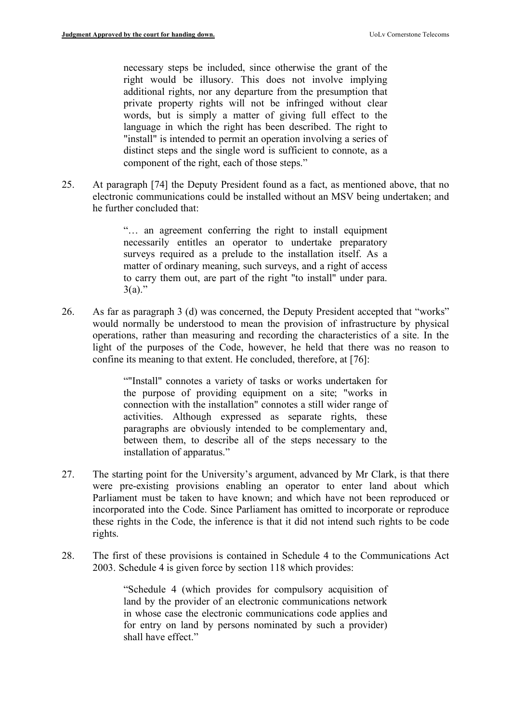necessary steps be included, since otherwise the grant of the right would be illusory. This does not involve implying additional rights, nor any departure from the presumption that private property rights will not be infringed without clear words, but is simply a matter of giving full effect to the language in which the right has been described. The right to "install" is intended to permit an operation involving a series of distinct steps and the single word is sufficient to connote, as a component of the right, each of those steps."

25. At paragraph [74] the Deputy President found as a fact, as mentioned above, that no electronic communications could be installed without an MSV being undertaken; and he further concluded that:

> "… an agreement conferring the right to install equipment necessarily entitles an operator to undertake preparatory surveys required as a prelude to the installation itself. As a matter of ordinary meaning, such surveys, and a right of access to carry them out, are part of the right "to install" under para.  $3(a)$ ."

26. As far as paragraph 3 (d) was concerned, the Deputy President accepted that "works" would normally be understood to mean the provision of infrastructure by physical operations, rather than measuring and recording the characteristics of a site. In the light of the purposes of the Code, however, he held that there was no reason to confine its meaning to that extent. He concluded, therefore, at [76]:

> ""Install" connotes a variety of tasks or works undertaken for the purpose of providing equipment on a site; "works in connection with the installation" connotes a still wider range of activities. Although expressed as separate rights, these paragraphs are obviously intended to be complementary and, between them, to describe all of the steps necessary to the installation of apparatus."

- 27. The starting point for the University's argument, advanced by Mr Clark, is that there were pre-existing provisions enabling an operator to enter land about which Parliament must be taken to have known; and which have not been reproduced or incorporated into the Code. Since Parliament has omitted to incorporate or reproduce these rights in the Code, the inference is that it did not intend such rights to be code rights.
- 28. The first of these provisions is contained in Schedule 4 to the Communications Act 2003. Schedule 4 is given force by section 118 which provides:

"Schedule 4 (which provides for compulsory acquisition of land by the provider of an electronic communications network in whose case the electronic communications code applies and for entry on land by persons nominated by such a provider) shall have effect."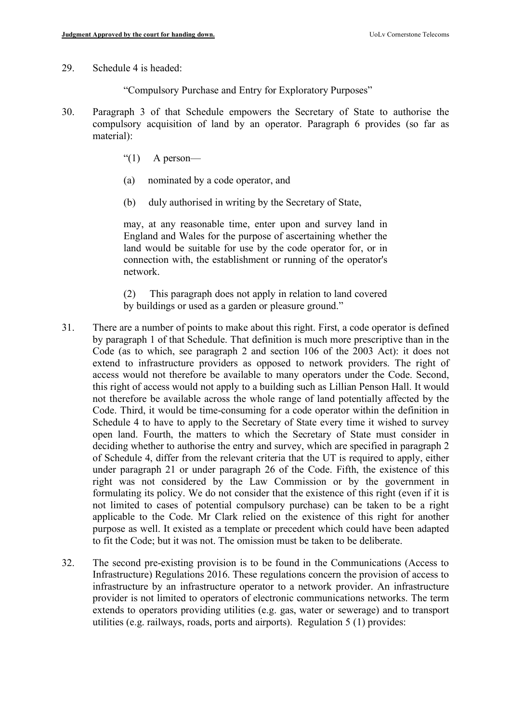- 29. Schedule 4 is headed:
	- "Compulsory Purchase and Entry for Exploratory Purposes"
- 30. Paragraph 3 of that Schedule empowers the Secretary of State to authorise the compulsory acquisition of land by an operator. Paragraph 6 provides (so far as material):
	- " $(1)$  A person-
	- (a) nominated by a code operator, and
	- (b) duly authorised in writing by the Secretary of State,

may, at any reasonable time, enter upon and survey land in England and Wales for the purpose of ascertaining whether the land would be suitable for use by the code operator for, or in connection with, the establishment or running of the operator's network.

(2) This paragraph does not apply in relation to land covered by buildings or used as a garden or pleasure ground."

- 31. There are a number of points to make about this right. First, a code operator is defined by paragraph 1 of that Schedule. That definition is much more prescriptive than in the Code (as to which, see paragraph 2 and section 106 of the 2003 Act): it does not extend to infrastructure providers as opposed to network providers. The right of access would not therefore be available to many operators under the Code. Second, this right of access would not apply to a building such as Lillian Penson Hall. It would not therefore be available across the whole range of land potentially affected by the Code. Third, it would be time-consuming for a code operator within the definition in Schedule 4 to have to apply to the Secretary of State every time it wished to survey open land. Fourth, the matters to which the Secretary of State must consider in deciding whether to authorise the entry and survey, which are specified in paragraph 2 of Schedule 4, differ from the relevant criteria that the UT is required to apply, either under paragraph 21 or under paragraph 26 of the Code. Fifth, the existence of this right was not considered by the Law Commission or by the government in formulating its policy. We do not consider that the existence of this right (even if it is not limited to cases of potential compulsory purchase) can be taken to be a right applicable to the Code. Mr Clark relied on the existence of this right for another purpose as well. It existed as a template or precedent which could have been adapted to fit the Code; but it was not. The omission must be taken to be deliberate.
- 32. The second pre-existing provision is to be found in the Communications (Access to Infrastructure) Regulations 2016. These regulations concern the provision of access to infrastructure by an infrastructure operator to a network provider. An infrastructure provider is not limited to operators of electronic communications networks. The term extends to operators providing utilities (e.g. gas, water or sewerage) and to transport utilities (e.g. railways, roads, ports and airports). Regulation 5 (1) provides: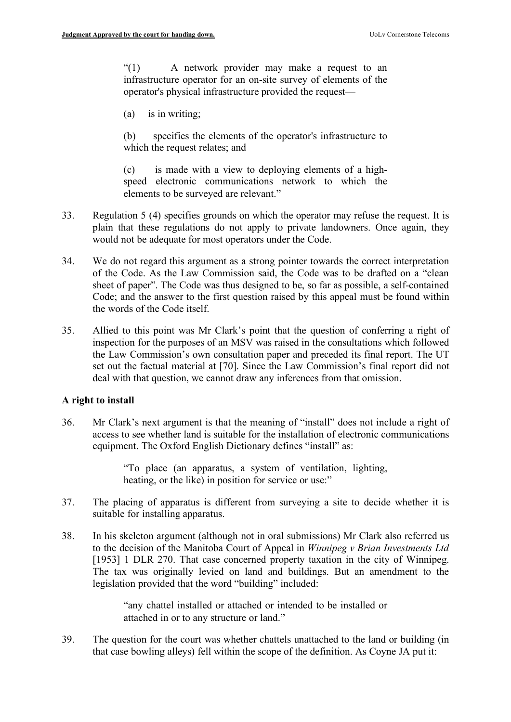"(1) A network provider may make a request to an infrastructure operator for an on-site survey of elements of the operator's physical infrastructure provided the request—

(a) is in writing;

(b) specifies the elements of the operator's infrastructure to which the request relates; and

(c) is made with a view to deploying elements of a highspeed electronic communications network to which the elements to be surveyed are relevant."

- 33. Regulation 5 (4) specifies grounds on which the operator may refuse the request. It is plain that these regulations do not apply to private landowners. Once again, they would not be adequate for most operators under the Code.
- 34. We do not regard this argument as a strong pointer towards the correct interpretation of the Code. As the Law Commission said, the Code was to be drafted on a "clean sheet of paper". The Code was thus designed to be, so far as possible, a self-contained Code; and the answer to the first question raised by this appeal must be found within the words of the Code itself.
- 35. Allied to this point was Mr Clark's point that the question of conferring a right of inspection for the purposes of an MSV was raised in the consultations which followed the Law Commission's own consultation paper and preceded its final report. The UT set out the factual material at [70]. Since the Law Commission's final report did not deal with that question, we cannot draw any inferences from that omission.

## **A right to install**

36. Mr Clark's next argument is that the meaning of "install" does not include a right of access to see whether land is suitable for the installation of electronic communications equipment. The Oxford English Dictionary defines "install" as:

> "To place (an apparatus, a system of ventilation, lighting, heating, or the like) in position for service or use:"

- 37. The placing of apparatus is different from surveying a site to decide whether it is suitable for installing apparatus.
- 38. In his skeleton argument (although not in oral submissions) Mr Clark also referred us to the decision of the Manitoba Court of Appeal in *Winnipeg v Brian Investments Ltd* [1953] 1 DLR 270. That case concerned property taxation in the city of Winnipeg. The tax was originally levied on land and buildings. But an amendment to the legislation provided that the word "building" included:

"any chattel installed or attached or intended to be installed or attached in or to any structure or land."

39. The question for the court was whether chattels unattached to the land or building (in that case bowling alleys) fell within the scope of the definition. As Coyne JA put it: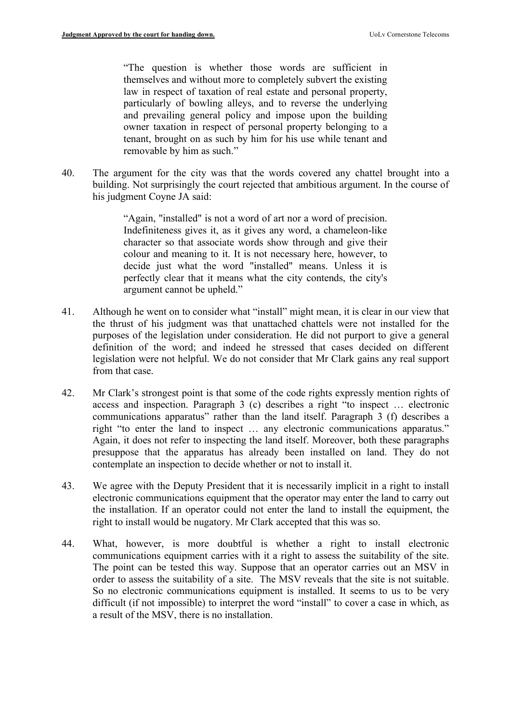"The question is whether those words are sufficient in themselves and without more to completely subvert the existing law in respect of taxation of real estate and personal property, particularly of bowling alleys, and to reverse the underlying and prevailing general policy and impose upon the building owner taxation in respect of personal property belonging to a tenant, brought on as such by him for his use while tenant and removable by him as such."

40. The argument for the city was that the words covered any chattel brought into a building. Not surprisingly the court rejected that ambitious argument. In the course of his judgment Coyne JA said:

> "Again, "installed" is not a word of art nor a word of precision. Indefiniteness gives it, as it gives any word, a chameleon-like character so that associate words show through and give their colour and meaning to it. It is not necessary here, however, to decide just what the word "installed" means. Unless it is perfectly clear that it means what the city contends, the city's argument cannot be upheld."

- 41. Although he went on to consider what "install" might mean, it is clear in our view that the thrust of his judgment was that unattached chattels were not installed for the purposes of the legislation under consideration. He did not purport to give a general definition of the word; and indeed he stressed that cases decided on different legislation were not helpful. We do not consider that Mr Clark gains any real support from that case.
- 42. Mr Clark's strongest point is that some of the code rights expressly mention rights of access and inspection. Paragraph 3 (c) describes a right "to inspect … electronic communications apparatus" rather than the land itself. Paragraph 3 (f) describes a right "to enter the land to inspect … any electronic communications apparatus." Again, it does not refer to inspecting the land itself. Moreover, both these paragraphs presuppose that the apparatus has already been installed on land. They do not contemplate an inspection to decide whether or not to install it.
- 43. We agree with the Deputy President that it is necessarily implicit in a right to install electronic communications equipment that the operator may enter the land to carry out the installation. If an operator could not enter the land to install the equipment, the right to install would be nugatory. Mr Clark accepted that this was so.
- 44. What, however, is more doubtful is whether a right to install electronic communications equipment carries with it a right to assess the suitability of the site. The point can be tested this way. Suppose that an operator carries out an MSV in order to assess the suitability of a site. The MSV reveals that the site is not suitable. So no electronic communications equipment is installed. It seems to us to be very difficult (if not impossible) to interpret the word "install" to cover a case in which, as a result of the MSV, there is no installation.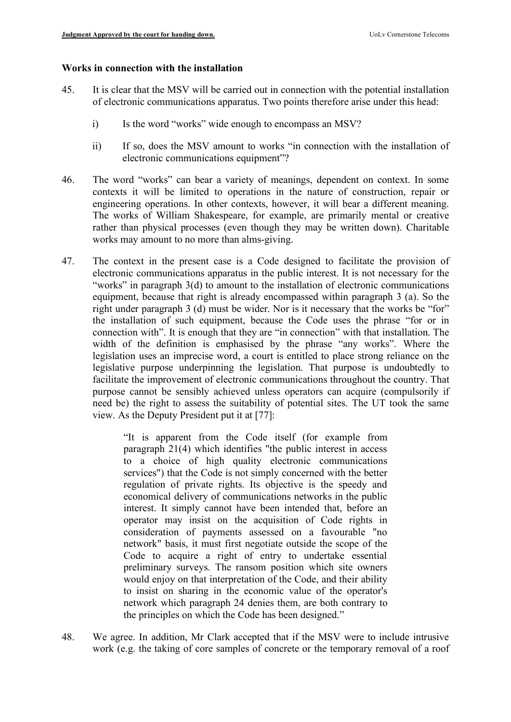### **Works in connection with the installation**

- 45. It is clear that the MSV will be carried out in connection with the potential installation of electronic communications apparatus. Two points therefore arise under this head:
	- i) Is the word "works" wide enough to encompass an MSV?
	- ii) If so, does the MSV amount to works "in connection with the installation of electronic communications equipment"?
- 46. The word "works" can bear a variety of meanings, dependent on context. In some contexts it will be limited to operations in the nature of construction, repair or engineering operations. In other contexts, however, it will bear a different meaning. The works of William Shakespeare, for example, are primarily mental or creative rather than physical processes (even though they may be written down). Charitable works may amount to no more than alms-giving.
- 47. The context in the present case is a Code designed to facilitate the provision of electronic communications apparatus in the public interest. It is not necessary for the "works" in paragraph 3(d) to amount to the installation of electronic communications equipment, because that right is already encompassed within paragraph 3 (a). So the right under paragraph 3 (d) must be wider. Nor is it necessary that the works be "for" the installation of such equipment, because the Code uses the phrase "for or in connection with". It is enough that they are "in connection" with that installation. The width of the definition is emphasised by the phrase "any works". Where the legislation uses an imprecise word, a court is entitled to place strong reliance on the legislative purpose underpinning the legislation. That purpose is undoubtedly to facilitate the improvement of electronic communications throughout the country. That purpose cannot be sensibly achieved unless operators can acquire (compulsorily if need be) the right to assess the suitability of potential sites. The UT took the same view. As the Deputy President put it at [77]:

"It is apparent from the Code itself (for example from paragraph 21(4) which identifies "the public interest in access to a choice of high quality electronic communications services") that the Code is not simply concerned with the better regulation of private rights. Its objective is the speedy and economical delivery of communications networks in the public interest. It simply cannot have been intended that, before an operator may insist on the acquisition of Code rights in consideration of payments assessed on a favourable "no network" basis, it must first negotiate outside the scope of the Code to acquire a right of entry to undertake essential preliminary surveys. The ransom position which site owners would enjoy on that interpretation of the Code, and their ability to insist on sharing in the economic value of the operator's network which paragraph 24 denies them, are both contrary to the principles on which the Code has been designed."

48. We agree. In addition, Mr Clark accepted that if the MSV were to include intrusive work (e.g. the taking of core samples of concrete or the temporary removal of a roof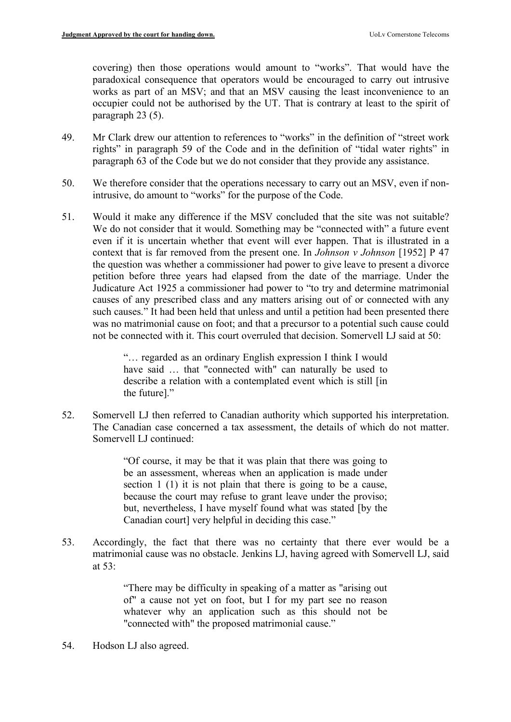covering) then those operations would amount to "works". That would have the paradoxical consequence that operators would be encouraged to carry out intrusive works as part of an MSV; and that an MSV causing the least inconvenience to an occupier could not be authorised by the UT. That is contrary at least to the spirit of paragraph 23 (5).

- 49. Mr Clark drew our attention to references to "works" in the definition of "street work rights" in paragraph 59 of the Code and in the definition of "tidal water rights" in paragraph 63 of the Code but we do not consider that they provide any assistance.
- 50. We therefore consider that the operations necessary to carry out an MSV, even if nonintrusive, do amount to "works" for the purpose of the Code.
- 51. Would it make any difference if the MSV concluded that the site was not suitable? We do not consider that it would. Something may be "connected with" a future event even if it is uncertain whether that event will ever happen. That is illustrated in a context that is far removed from the present one. In *Johnson v Johnson* [1952] P 47 the question was whether a commissioner had power to give leave to present a divorce petition before three years had elapsed from the date of the marriage. Under the Judicature Act 1925 a commissioner had power to "to try and determine matrimonial causes of any prescribed class and any matters arising out of or connected with any such causes." It had been held that unless and until a petition had been presented there was no matrimonial cause on foot; and that a precursor to a potential such cause could not be connected with it. This court overruled that decision. Somervell LJ said at 50:

"… regarded as an ordinary English expression I think I would have said … that "connected with" can naturally be used to describe a relation with a contemplated event which is still [in the future]."

52. Somervell LJ then referred to Canadian authority which supported his interpretation. The Canadian case concerned a tax assessment, the details of which do not matter. Somervell LJ continued:

> "Of course, it may be that it was plain that there was going to be an assessment, whereas when an application is made under section 1 (1) it is not plain that there is going to be a cause, because the court may refuse to grant leave under the proviso; but, nevertheless, I have myself found what was stated [by the Canadian court] very helpful in deciding this case."

53. Accordingly, the fact that there was no certainty that there ever would be a matrimonial cause was no obstacle. Jenkins LJ, having agreed with Somervell LJ, said at 53:

> "There may be difficulty in speaking of a matter as "arising out of" a cause not yet on foot, but I for my part see no reason whatever why an application such as this should not be "connected with" the proposed matrimonial cause."

54. Hodson LJ also agreed.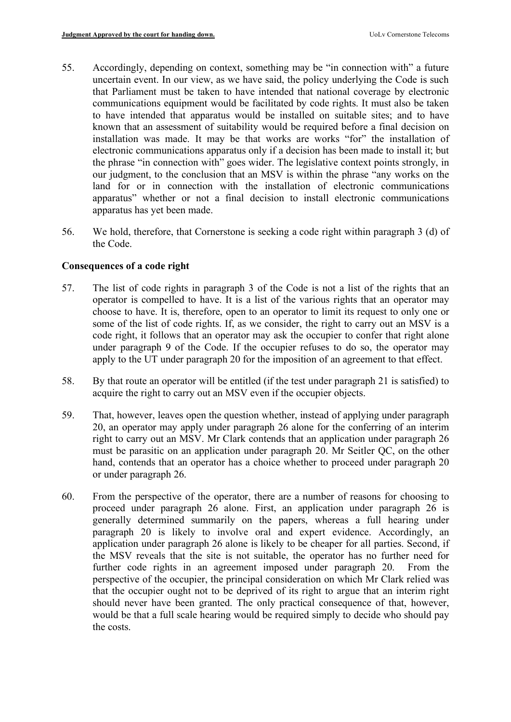- 55. Accordingly, depending on context, something may be "in connection with" a future uncertain event. In our view, as we have said, the policy underlying the Code is such that Parliament must be taken to have intended that national coverage by electronic communications equipment would be facilitated by code rights. It must also be taken to have intended that apparatus would be installed on suitable sites; and to have known that an assessment of suitability would be required before a final decision on installation was made. It may be that works are works "for" the installation of electronic communications apparatus only if a decision has been made to install it; but the phrase "in connection with" goes wider. The legislative context points strongly, in our judgment, to the conclusion that an MSV is within the phrase "any works on the land for or in connection with the installation of electronic communications apparatus" whether or not a final decision to install electronic communications apparatus has yet been made.
- 56. We hold, therefore, that Cornerstone is seeking a code right within paragraph 3 (d) of the Code.

# **Consequences of a code right**

- 57. The list of code rights in paragraph 3 of the Code is not a list of the rights that an operator is compelled to have. It is a list of the various rights that an operator may choose to have. It is, therefore, open to an operator to limit its request to only one or some of the list of code rights. If, as we consider, the right to carry out an MSV is a code right, it follows that an operator may ask the occupier to confer that right alone under paragraph 9 of the Code. If the occupier refuses to do so, the operator may apply to the UT under paragraph 20 for the imposition of an agreement to that effect.
- 58. By that route an operator will be entitled (if the test under paragraph 21 is satisfied) to acquire the right to carry out an MSV even if the occupier objects.
- 59. That, however, leaves open the question whether, instead of applying under paragraph 20, an operator may apply under paragraph 26 alone for the conferring of an interim right to carry out an MSV. Mr Clark contends that an application under paragraph 26 must be parasitic on an application under paragraph 20. Mr Seitler QC, on the other hand, contends that an operator has a choice whether to proceed under paragraph 20 or under paragraph 26.
- 60. From the perspective of the operator, there are a number of reasons for choosing to proceed under paragraph 26 alone. First, an application under paragraph 26 is generally determined summarily on the papers, whereas a full hearing under paragraph 20 is likely to involve oral and expert evidence. Accordingly, an application under paragraph 26 alone is likely to be cheaper for all parties. Second, if the MSV reveals that the site is not suitable, the operator has no further need for further code rights in an agreement imposed under paragraph 20. From the perspective of the occupier, the principal consideration on which Mr Clark relied was that the occupier ought not to be deprived of its right to argue that an interim right should never have been granted. The only practical consequence of that, however, would be that a full scale hearing would be required simply to decide who should pay the costs.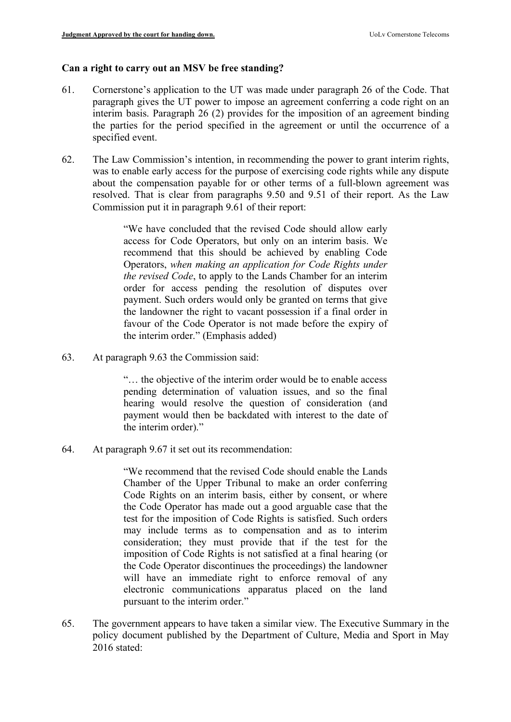## **Can a right to carry out an MSV be free standing?**

- 61. Cornerstone's application to the UT was made under paragraph 26 of the Code. That paragraph gives the UT power to impose an agreement conferring a code right on an interim basis. Paragraph 26 (2) provides for the imposition of an agreement binding the parties for the period specified in the agreement or until the occurrence of a specified event.
- 62. The Law Commission's intention, in recommending the power to grant interim rights, was to enable early access for the purpose of exercising code rights while any dispute about the compensation payable for or other terms of a full-blown agreement was resolved. That is clear from paragraphs 9.50 and 9.51 of their report. As the Law Commission put it in paragraph 9.61 of their report:

"We have concluded that the revised Code should allow early access for Code Operators, but only on an interim basis. We recommend that this should be achieved by enabling Code Operators, *when making an application for Code Rights under the revised Code*, to apply to the Lands Chamber for an interim order for access pending the resolution of disputes over payment. Such orders would only be granted on terms that give the landowner the right to vacant possession if a final order in favour of the Code Operator is not made before the expiry of the interim order." (Emphasis added)

63. At paragraph 9.63 the Commission said:

"… the objective of the interim order would be to enable access pending determination of valuation issues, and so the final hearing would resolve the question of consideration (and payment would then be backdated with interest to the date of the interim order)."

64. At paragraph 9.67 it set out its recommendation:

"We recommend that the revised Code should enable the Lands Chamber of the Upper Tribunal to make an order conferring Code Rights on an interim basis, either by consent, or where the Code Operator has made out a good arguable case that the test for the imposition of Code Rights is satisfied. Such orders may include terms as to compensation and as to interim consideration; they must provide that if the test for the imposition of Code Rights is not satisfied at a final hearing (or the Code Operator discontinues the proceedings) the landowner will have an immediate right to enforce removal of any electronic communications apparatus placed on the land pursuant to the interim order."

65. The government appears to have taken a similar view. The Executive Summary in the policy document published by the Department of Culture, Media and Sport in May 2016 stated: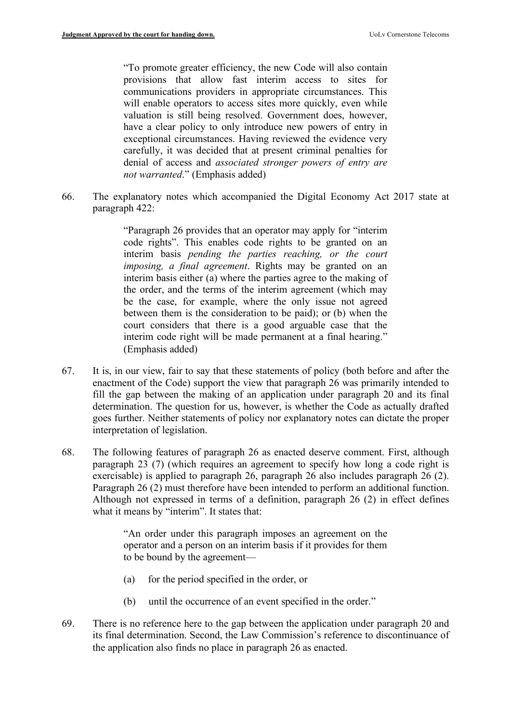"To promote greater efficiency, the new Code will also contain provisions that allow fast interim access to sites for communications providers in appropriate circumstances. This will enable operators to access sites more quickly, even while valuation is still being resolved. Government does, however, have a clear policy to only introduce new powers of entry in exceptional circumstances. Having reviewed the evidence very carefully, it was decided that at present criminal penalties for denial of access and *associated stronger powers of entry are not warranted*." (Emphasis added)

66. The explanatory notes which accompanied the Digital Economy Act 2017 state at paragraph 422:

> "Paragraph 26 provides that an operator may apply for "interim code rights". This enables code rights to be granted on an interim basis *pending the parties reaching, or the court imposing, a final agreement*. Rights may be granted on an interim basis either (a) where the parties agree to the making of the order, and the terms of the interim agreement (which may be the case, for example, where the only issue not agreed between them is the consideration to be paid); or (b) when the court considers that there is a good arguable case that the interim code right will be made permanent at a final hearing." (Emphasis added)

- 67. It is, in our view, fair to say that these statements of policy (both before and after the enactment of the Code) support the view that paragraph 26 was primarily intended to fill the gap between the making of an application under paragraph 20 and its final determination. The question for us, however, is whether the Code as actually drafted goes further. Neither statements of policy nor explanatory notes can dictate the proper interpretation of legislation.
- 68. The following features of paragraph 26 as enacted deserve comment. First, although paragraph 23 (7) (which requires an agreement to specify how long a code right is exercisable) is applied to paragraph 26, paragraph 26 also includes paragraph 26 (2). Paragraph 26 (2) must therefore have been intended to perform an additional function. Although not expressed in terms of a definition, paragraph 26 (2) in effect defines what it means by "interim". It states that:

"An order under this paragraph imposes an agreement on the operator and a person on an interim basis if it provides for them to be bound by the agreement—

- (a) for the period specified in the order, or
- (b) until the occurrence of an event specified in the order."
- 69. There is no reference here to the gap between the application under paragraph 20 and its final determination. Second, the Law Commission's reference to discontinuance of the application also finds no place in paragraph 26 as enacted.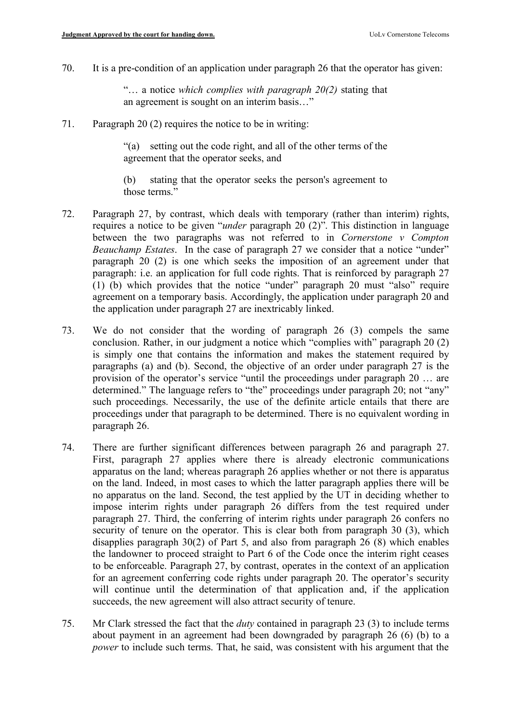70. It is a pre-condition of an application under paragraph 26 that the operator has given:

"… a notice *which complies with paragraph 20(2)* stating that an agreement is sought on an interim basis…"

71. Paragraph 20 (2) requires the notice to be in writing:

"(a) setting out the code right, and all of the other terms of the agreement that the operator seeks, and

(b) stating that the operator seeks the person's agreement to those terms."

- 72. Paragraph 27, by contrast, which deals with temporary (rather than interim) rights, requires a notice to be given "*under* paragraph 20 (2)". This distinction in language between the two paragraphs was not referred to in *Cornerstone v Compton Beauchamp Estates*. In the case of paragraph 27 we consider that a notice "under" paragraph 20 (2) is one which seeks the imposition of an agreement under that paragraph: i.e. an application for full code rights. That is reinforced by paragraph 27 (1) (b) which provides that the notice "under" paragraph 20 must "also" require agreement on a temporary basis. Accordingly, the application under paragraph 20 and the application under paragraph 27 are inextricably linked.
- 73. We do not consider that the wording of paragraph 26 (3) compels the same conclusion. Rather, in our judgment a notice which "complies with" paragraph 20 (2) is simply one that contains the information and makes the statement required by paragraphs (a) and (b). Second, the objective of an order under paragraph 27 is the provision of the operator's service "until the proceedings under paragraph 20 … are determined." The language refers to "the" proceedings under paragraph 20; not "any" such proceedings. Necessarily, the use of the definite article entails that there are proceedings under that paragraph to be determined. There is no equivalent wording in paragraph 26.
- 74. There are further significant differences between paragraph 26 and paragraph 27. First, paragraph 27 applies where there is already electronic communications apparatus on the land; whereas paragraph 26 applies whether or not there is apparatus on the land. Indeed, in most cases to which the latter paragraph applies there will be no apparatus on the land. Second, the test applied by the UT in deciding whether to impose interim rights under paragraph 26 differs from the test required under paragraph 27. Third, the conferring of interim rights under paragraph 26 confers no security of tenure on the operator. This is clear both from paragraph 30 (3), which disapplies paragraph 30(2) of Part 5, and also from paragraph 26 (8) which enables the landowner to proceed straight to Part 6 of the Code once the interim right ceases to be enforceable. Paragraph 27, by contrast, operates in the context of an application for an agreement conferring code rights under paragraph 20. The operator's security will continue until the determination of that application and, if the application succeeds, the new agreement will also attract security of tenure.
- 75. Mr Clark stressed the fact that the *duty* contained in paragraph 23 (3) to include terms about payment in an agreement had been downgraded by paragraph 26 (6) (b) to a *power* to include such terms. That, he said, was consistent with his argument that the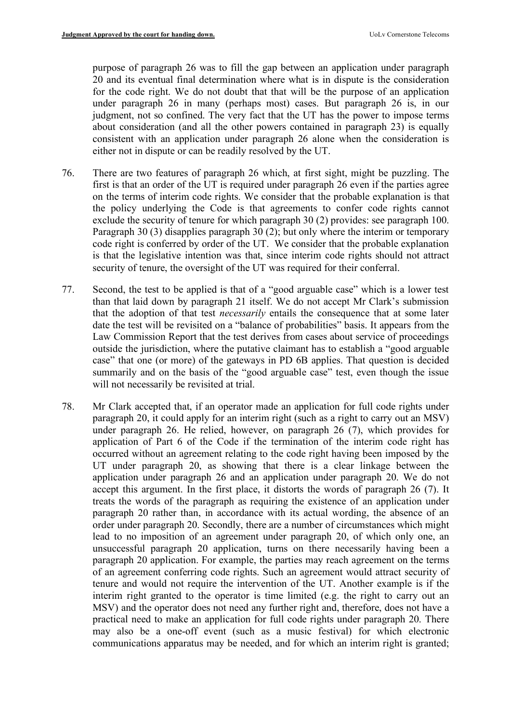purpose of paragraph 26 was to fill the gap between an application under paragraph 20 and its eventual final determination where what is in dispute is the consideration for the code right. We do not doubt that that will be the purpose of an application under paragraph 26 in many (perhaps most) cases. But paragraph 26 is, in our judgment, not so confined. The very fact that the UT has the power to impose terms about consideration (and all the other powers contained in paragraph 23) is equally consistent with an application under paragraph 26 alone when the consideration is either not in dispute or can be readily resolved by the UT.

- 76. There are two features of paragraph 26 which, at first sight, might be puzzling. The first is that an order of the UT is required under paragraph 26 even if the parties agree on the terms of interim code rights. We consider that the probable explanation is that the policy underlying the Code is that agreements to confer code rights cannot exclude the security of tenure for which paragraph 30 (2) provides: see paragraph 100. Paragraph 30 (3) disapplies paragraph 30 (2); but only where the interim or temporary code right is conferred by order of the UT. We consider that the probable explanation is that the legislative intention was that, since interim code rights should not attract security of tenure, the oversight of the UT was required for their conferral.
- 77. Second, the test to be applied is that of a "good arguable case" which is a lower test than that laid down by paragraph 21 itself. We do not accept Mr Clark's submission that the adoption of that test *necessarily* entails the consequence that at some later date the test will be revisited on a "balance of probabilities" basis. It appears from the Law Commission Report that the test derives from cases about service of proceedings outside the jurisdiction, where the putative claimant has to establish a "good arguable case" that one (or more) of the gateways in PD 6B applies. That question is decided summarily and on the basis of the "good arguable case" test, even though the issue will not necessarily be revisited at trial.
- 78. Mr Clark accepted that, if an operator made an application for full code rights under paragraph 20, it could apply for an interim right (such as a right to carry out an MSV) under paragraph 26. He relied, however, on paragraph 26 (7), which provides for application of Part 6 of the Code if the termination of the interim code right has occurred without an agreement relating to the code right having been imposed by the UT under paragraph 20, as showing that there is a clear linkage between the application under paragraph 26 and an application under paragraph 20. We do not accept this argument. In the first place, it distorts the words of paragraph 26 (7). It treats the words of the paragraph as requiring the existence of an application under paragraph 20 rather than, in accordance with its actual wording, the absence of an order under paragraph 20. Secondly, there are a number of circumstances which might lead to no imposition of an agreement under paragraph 20, of which only one, an unsuccessful paragraph 20 application, turns on there necessarily having been a paragraph 20 application. For example, the parties may reach agreement on the terms of an agreement conferring code rights. Such an agreement would attract security of tenure and would not require the intervention of the UT. Another example is if the interim right granted to the operator is time limited (e.g. the right to carry out an MSV) and the operator does not need any further right and, therefore, does not have a practical need to make an application for full code rights under paragraph 20. There may also be a one-off event (such as a music festival) for which electronic communications apparatus may be needed, and for which an interim right is granted;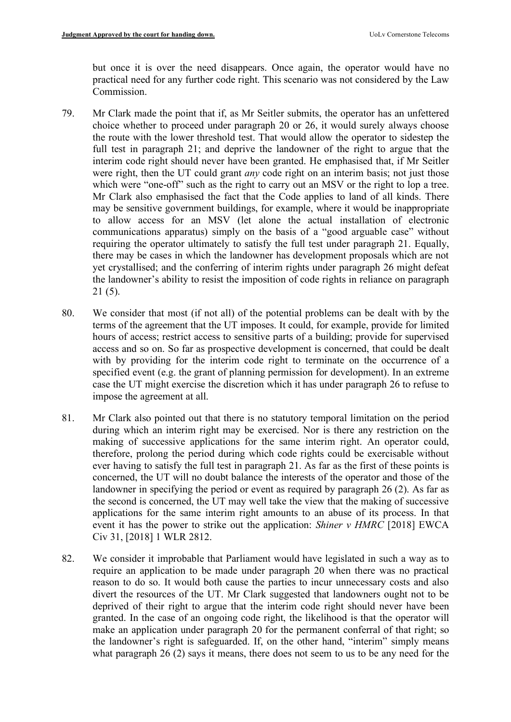but once it is over the need disappears. Once again, the operator would have no practical need for any further code right. This scenario was not considered by the Law Commission.

- 79. Mr Clark made the point that if, as Mr Seitler submits, the operator has an unfettered choice whether to proceed under paragraph 20 or 26, it would surely always choose the route with the lower threshold test. That would allow the operator to sidestep the full test in paragraph 21; and deprive the landowner of the right to argue that the interim code right should never have been granted. He emphasised that, if Mr Seitler were right, then the UT could grant *any* code right on an interim basis; not just those which were "one-off" such as the right to carry out an MSV or the right to lop a tree. Mr Clark also emphasised the fact that the Code applies to land of all kinds. There may be sensitive government buildings, for example, where it would be inappropriate to allow access for an MSV (let alone the actual installation of electronic communications apparatus) simply on the basis of a "good arguable case" without requiring the operator ultimately to satisfy the full test under paragraph 21. Equally, there may be cases in which the landowner has development proposals which are not yet crystallised; and the conferring of interim rights under paragraph 26 might defeat the landowner's ability to resist the imposition of code rights in reliance on paragraph 21 (5).
- 80. We consider that most (if not all) of the potential problems can be dealt with by the terms of the agreement that the UT imposes. It could, for example, provide for limited hours of access; restrict access to sensitive parts of a building; provide for supervised access and so on. So far as prospective development is concerned, that could be dealt with by providing for the interim code right to terminate on the occurrence of a specified event (e.g. the grant of planning permission for development). In an extreme case the UT might exercise the discretion which it has under paragraph 26 to refuse to impose the agreement at all.
- 81. Mr Clark also pointed out that there is no statutory temporal limitation on the period during which an interim right may be exercised. Nor is there any restriction on the making of successive applications for the same interim right. An operator could, therefore, prolong the period during which code rights could be exercisable without ever having to satisfy the full test in paragraph 21. As far as the first of these points is concerned, the UT will no doubt balance the interests of the operator and those of the landowner in specifying the period or event as required by paragraph 26 (2). As far as the second is concerned, the UT may well take the view that the making of successive applications for the same interim right amounts to an abuse of its process. In that event it has the power to strike out the application: *Shiner v HMRC* [2018] EWCA Civ 31, [2018] 1 WLR 2812.
- 82. We consider it improbable that Parliament would have legislated in such a way as to require an application to be made under paragraph 20 when there was no practical reason to do so. It would both cause the parties to incur unnecessary costs and also divert the resources of the UT. Mr Clark suggested that landowners ought not to be deprived of their right to argue that the interim code right should never have been granted. In the case of an ongoing code right, the likelihood is that the operator will make an application under paragraph 20 for the permanent conferral of that right; so the landowner's right is safeguarded. If, on the other hand, "interim" simply means what paragraph 26 (2) says it means, there does not seem to us to be any need for the